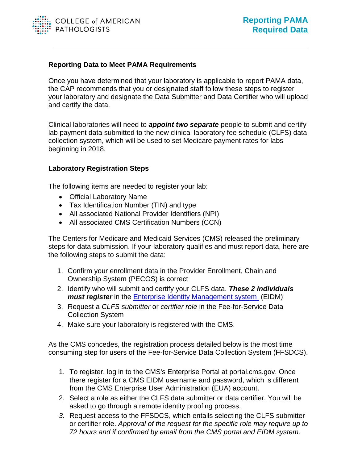

## **Reporting Data to Meet PAMA Requirements**

Once you have determined that your laboratory is applicable to report PAMA data, the CAP recommends that you or designated staff follow these steps to register your laboratory and designate the Data Submitter and Data Certifier who will upload and certify the data.

Clinical laboratories will need to *appoint two separate* people to submit and certify lab payment data submitted to the new clinical laboratory fee schedule (CLFS) data collection system, which will be used to set Medicare payment rates for labs beginning in 2018.

## **Laboratory Registration Steps**

The following items are needed to register your lab:

- Official Laboratory Name
- Tax Identification Number (TIN) and type
- All associated National Provider Identifiers (NPI)
- All associated CMS Certification Numbers (CCN)

The Centers for Medicare and Medicaid Services (CMS) released the preliminary steps for data submission. If your laboratory qualifies and must report data, here are the following steps to submit the data:

- 1. Confirm your enrollment data in the Provider Enrollment, Chain and Ownership System (PECOS) is correct
- 2. Identify who will submit and certify your CLFS data. *These 2 individuals must register* in the [Enterprise Identity Management system](https://portal.cms.gov/wps/portal/unauthportal/home/) (EIDM)
- 3. Request a *CLFS submitter* or *certifier role* in the Fee-for-Service Data Collection System
- 4. Make sure your laboratory is registered with the CMS.

As the CMS concedes, the registration process detailed below is the most time consuming step for users of the Fee-for-Service Data Collection System (FFSDCS).

- 1. To register, log in to the CMS's Enterprise Portal at portal.cms.gov. Once there register for a CMS EIDM username and password, which is different from the CMS Enterprise User Administration (EUA) account.
- 2. Select a role as either the CLFS data submitter or data certifier. You will be asked to go through a remote identity proofing process.
- *3.* Request access to the FFSDCS, which entails selecting the CLFS submitter or certifier role. *Approval of the request for the specific role may require up to 72 hours and if confirmed by email from the CMS portal and EIDM system.*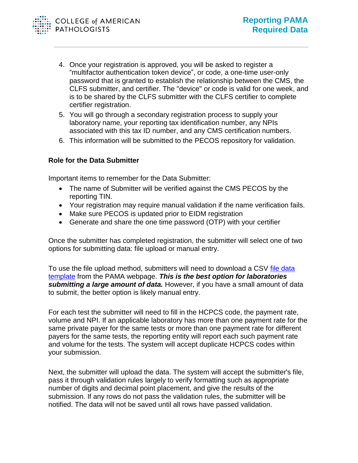- 4. Once your registration is approved, you will be asked to register a "multifactor authentication token device", or code, a one-time user-only password that is granted to establish the relationship between the CMS, the CLFS submitter, and certifier. The "device" or code is valid for one week, and is to be shared by the CLFS submitter with the CLFS certifier to complete certifier registration.
- 5. You will go through a secondary registration process to supply your laboratory name, your reporting tax identification number, any NPIs associated with this tax ID number, and any CMS certification numbers.
- 6. This information will be submitted to the PECOS repository for validation.

## **Role for the Data Submitter**

Important items to remember for the Data Submitter:

- The name of Submitter will be verified against the CMS PECOS by the reporting TIN.
- Your registration may require manual validation if the name verification fails.
- Make sure PECOS is updated prior to EIDM registration
- Generate and share the one time password (OTP) with your certifier

Once the submitter has completed registration, the submitter will select one of two options for submitting data: file upload or manual entry.

To use the file upload method, submitters will need to download a CSV [file data](https://www.cms.gov/Medicare/Medicare-Fee-for-Service-Payment/ClinicalLabFeeSched/PAMA-Regulations.html)  [template](https://www.cms.gov/Medicare/Medicare-Fee-for-Service-Payment/ClinicalLabFeeSched/PAMA-Regulations.html) from the PAMA webpage. *This is the best option for laboratories submitting a large amount of data.* However, if you have a small amount of data to submit, the better option is likely manual entry.

For each test the submitter will need to fill in the HCPCS code, the payment rate, volume and NPI. If an applicable laboratory has more than one payment rate for the same private payer for the same tests or more than one payment rate for different payers for the same tests, the reporting entity will report each such payment rate and volume for the tests. The system will accept duplicate HCPCS codes within your submission.

Next, the submitter will upload the data. The system will accept the submitter's file, pass it through validation rules largely to verify formatting such as appropriate number of digits and decimal point placement, and give the results of the submission. If any rows do not pass the validation rules, the submitter will be notified. The data will not be saved until all rows have passed validation.